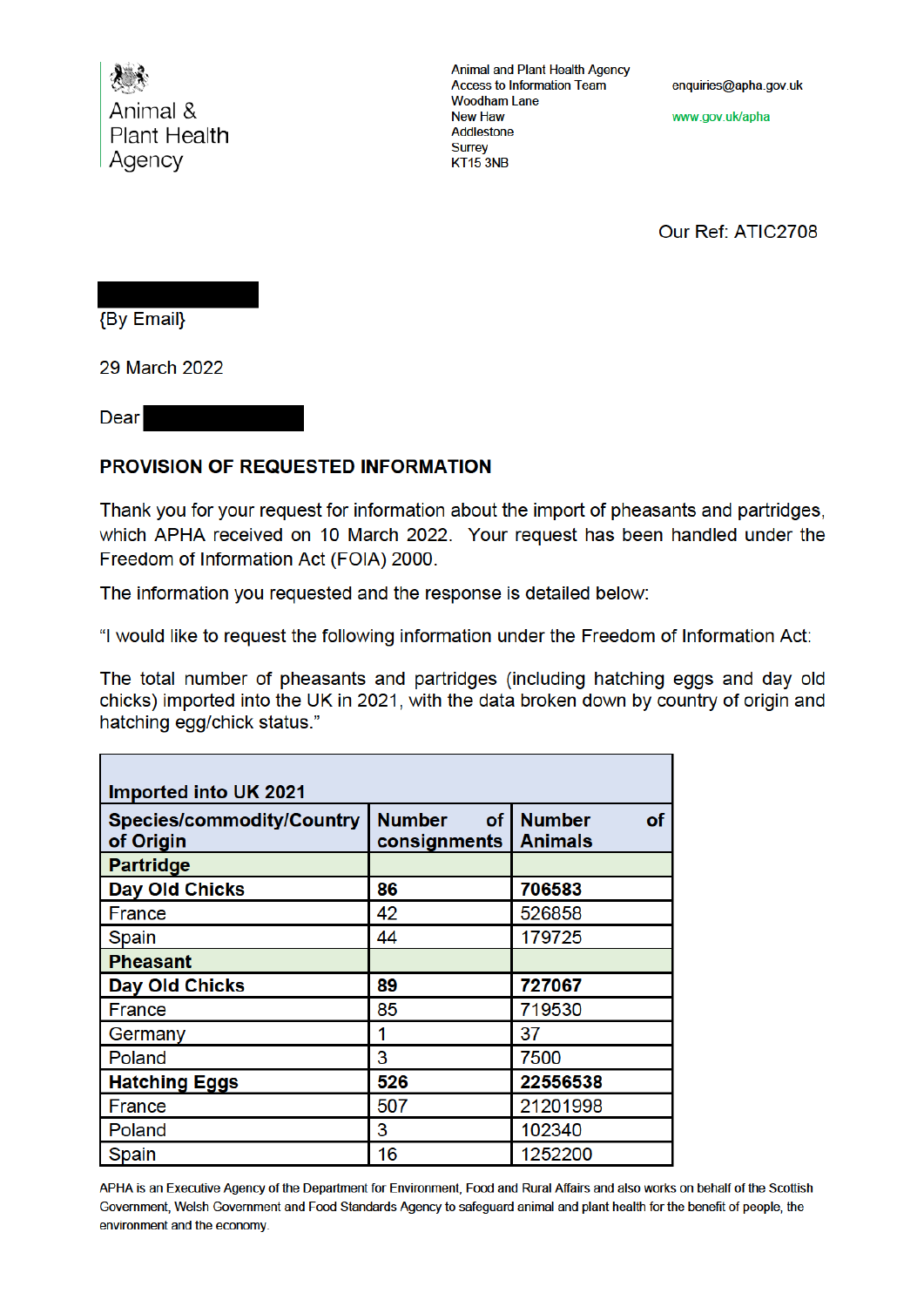

**Animal and Plant Health Agency Access to Information Team Woodham Lane New Haw** Addlestone **Surrey** KT15 3NB

enquiries@apha.gov.uk

www.gov.uk/apha

Our Ref: ATIC2708

**{By Email}** 

29 March 2022

Dear

## **PROVISION OF REQUESTED INFORMATION**

Thank you for your request for information about the import of pheasants and partridges. which APHA received on 10 March 2022. Your request has been handled under the Freedom of Information Act (FOIA) 2000.

The information you requested and the response is detailed below:

"I would like to request the following information under the Freedom of Information Act:

The total number of pheasants and partridges (including hatching eggs and day old chicks) imported into the UK in 2021, with the data broken down by country of origin and hatching egg/chick status."

| Imported into UK 2021                         |                                       |                                |
|-----------------------------------------------|---------------------------------------|--------------------------------|
| <b>Species/commodity/Country</b><br>of Origin | <b>Number</b><br>of I<br>consignments | <b>Number</b><br>of<br>Animals |
| <b>Partridge</b>                              |                                       |                                |
| <b>Day Old Chicks</b>                         | 86                                    | 706583                         |
| France                                        | 42                                    | 526858                         |
| Spain                                         | 44                                    | 179725                         |
| <b>Pheasant</b>                               |                                       |                                |
| <b>Day Old Chicks</b>                         | 89                                    | 727067                         |
| France                                        | 85                                    | 719530                         |
| Germany                                       | 1                                     | 37                             |
| Poland                                        | 3                                     | 7500                           |
| <b>Hatching Eggs</b>                          | 526                                   | 22556538                       |
| France                                        | 507                                   | 21201998                       |
| Poland                                        | 3                                     | 102340                         |
| Spain                                         | 16                                    | 1252200                        |

APHA is an Executive Agency of the Department for Environment, Food and Rural Affairs and also works on behalf of the Scottish Government, Welsh Government and Food Standards Agency to safeguard animal and plant health for the benefit of people, the environment and the economy.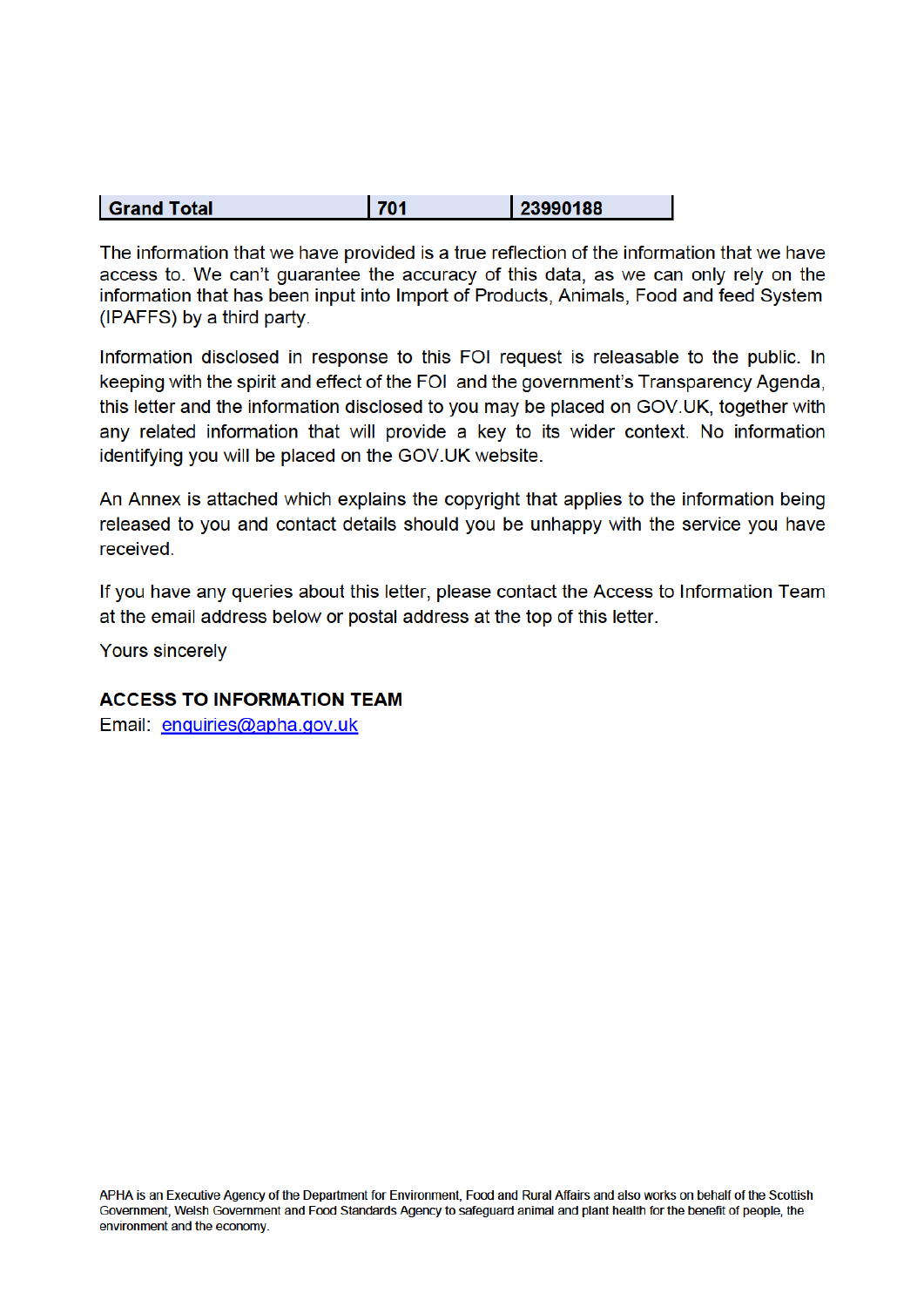| 23990188<br><b>Grand Total</b> |  |
|--------------------------------|--|
|--------------------------------|--|

The information that we have provided is a true reflection of the information that we have access to. We can't quarantee the accuracy of this data, as we can only rely on the information that has been input into Import of Products, Animals, Food and feed System (IPAFFS) by a third party.

Information disclosed in response to this FOI request is releasable to the public. In keeping with the spirit and effect of the FOI and the government's Transparency Agenda, this letter and the information disclosed to you may be placed on GOV.UK, together with any related information that will provide a key to its wider context. No information identifying you will be placed on the GOV.UK website.

An Annex is attached which explains the copyright that applies to the information being released to you and contact details should you be unhappy with the service you have received.

If you have any queries about this letter, please contact the Access to Information Team at the email address below or postal address at the top of this letter.

**Yours sincerely** 

### **ACCESS TO INFORMATION TEAM**

Email: enquiries@apha.gov.uk